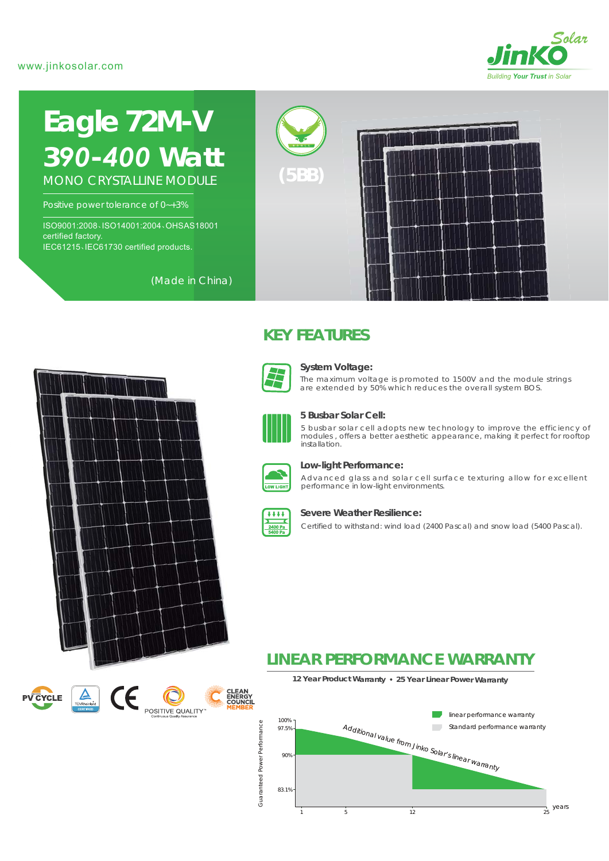## www.jinkosolar.com



# **Eagle 72M-V** *390-400 Watt* MONO CRYSTALLINE MODULE

Positive power tolerance of 0~+3%

ISO9001:2008、ISO14001:2004、OHSAS18001 certified factory. IEC61215、IEC61730 certified products.

(Made in China)



**PV CYCLE** 



# **KEY FEATURES**



#### **System Voltage:**

The maximum voltage is promoted to 1500V and the module strings are extended by 50% which reduces the overall system BOS.



#### **5 Busbar Solar Cell:**

5 busbar solar cell adopts new technology to improve the efficiency of modules , offers a better aesthetic appearance, making it perfect for rooftop installation.



#### **Low-light Performance:**

Advanced glass and solar cell surface texturing allow for excellent performance in low-light environments.



#### **Severe Weather Resilience:**

Certified to withstand: wind load (2400 Pascal) and snow load (5400 Pascal).

# **LINEAR PERFORMANCE WARRANTY**